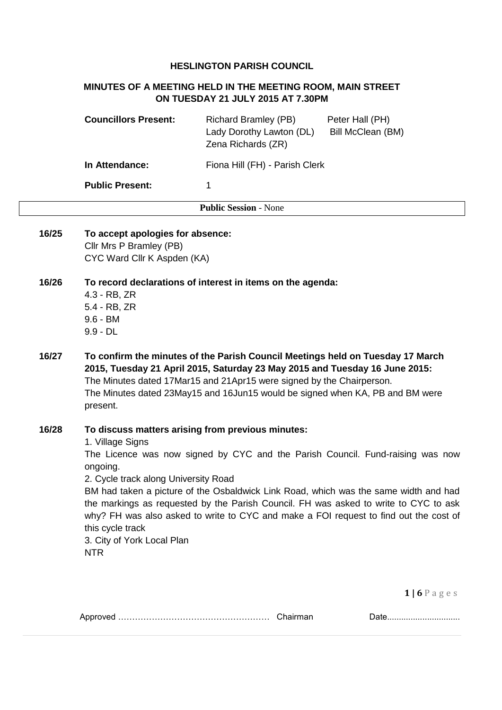# **HESLINGTON PARISH COUNCIL**

| <b>Councillors Present:</b>                                                                  | <b>Richard Bramley (PB)</b><br>Lady Dorothy Lawton (DL)    | Peter Hall (PH)                                                                                                                                                                                                                                                                                                                                                                                                                                                                                                                                                                                                                                                                                                                                                                 |
|----------------------------------------------------------------------------------------------|------------------------------------------------------------|---------------------------------------------------------------------------------------------------------------------------------------------------------------------------------------------------------------------------------------------------------------------------------------------------------------------------------------------------------------------------------------------------------------------------------------------------------------------------------------------------------------------------------------------------------------------------------------------------------------------------------------------------------------------------------------------------------------------------------------------------------------------------------|
|                                                                                              | Zena Richards (ZR)                                         | Bill McClean (BM)                                                                                                                                                                                                                                                                                                                                                                                                                                                                                                                                                                                                                                                                                                                                                               |
| In Attendance:                                                                               | Fiona Hill (FH) - Parish Clerk                             |                                                                                                                                                                                                                                                                                                                                                                                                                                                                                                                                                                                                                                                                                                                                                                                 |
| <b>Public Present:</b>                                                                       | 1                                                          |                                                                                                                                                                                                                                                                                                                                                                                                                                                                                                                                                                                                                                                                                                                                                                                 |
|                                                                                              | <b>Public Session - None</b>                               |                                                                                                                                                                                                                                                                                                                                                                                                                                                                                                                                                                                                                                                                                                                                                                                 |
| To accept apologies for absence:<br>Cllr Mrs P Bramley (PB)<br>CYC Ward Cllr K Aspden (KA)   |                                                            |                                                                                                                                                                                                                                                                                                                                                                                                                                                                                                                                                                                                                                                                                                                                                                                 |
| 4.3 - RB, ZR<br>5.4 - RB, ZR<br>$9.6 - BM$<br>$9.9 - DL$                                     | To record declarations of interest in items on the agenda: |                                                                                                                                                                                                                                                                                                                                                                                                                                                                                                                                                                                                                                                                                                                                                                                 |
| present.                                                                                     |                                                            |                                                                                                                                                                                                                                                                                                                                                                                                                                                                                                                                                                                                                                                                                                                                                                                 |
| 1. Village Signs<br>ongoing.<br>this cycle track<br>3. City of York Local Plan<br><b>NTR</b> |                                                            |                                                                                                                                                                                                                                                                                                                                                                                                                                                                                                                                                                                                                                                                                                                                                                                 |
|                                                                                              |                                                            | To confirm the minutes of the Parish Council Meetings held on Tuesday 17 March<br>2015, Tuesday 21 April 2015, Saturday 23 May 2015 and Tuesday 16 June 2015:<br>The Minutes dated 17Mar15 and 21Apr15 were signed by the Chairperson.<br>The Minutes dated 23May15 and 16Jun15 would be signed when KA, PB and BM were<br>To discuss matters arising from previous minutes:<br>The Licence was now signed by CYC and the Parish Council. Fund-raising was now<br>2. Cycle track along University Road<br>BM had taken a picture of the Osbaldwick Link Road, which was the same width and had<br>the markings as requested by the Parish Council. FH was asked to write to CYC to ask<br>why? FH was also asked to write to CYC and make a FOI request to find out the cost of |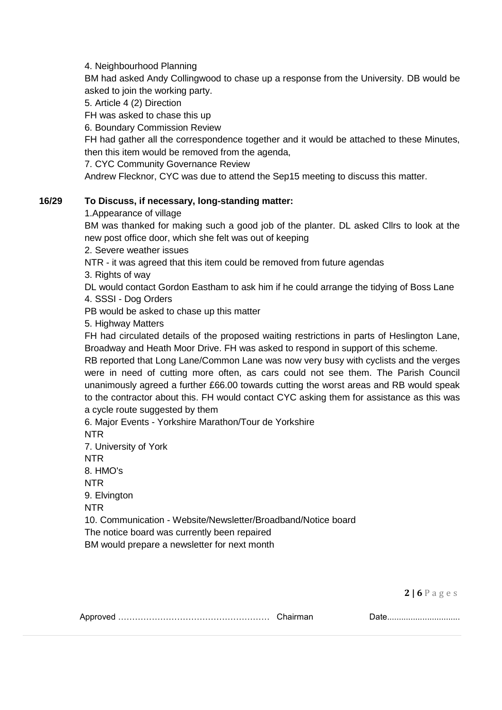4. Neighbourhood Planning

BM had asked Andy Collingwood to chase up a response from the University. DB would be asked to join the working party.

5. Article 4 (2) Direction

FH was asked to chase this up

6. Boundary Commission Review

FH had gather all the correspondence together and it would be attached to these Minutes, then this item would be removed from the agenda,

7. CYC Community Governance Review

Andrew Flecknor, CYC was due to attend the Sep15 meeting to discuss this matter.

## **16/29 To Discuss, if necessary, long-standing matter:**

1.Appearance of village

BM was thanked for making such a good job of the planter. DL asked Cllrs to look at the new post office door, which she felt was out of keeping

2. Severe weather issues

NTR - it was agreed that this item could be removed from future agendas

3. Rights of way

DL would contact Gordon Eastham to ask him if he could arrange the tidying of Boss Lane 4. SSSI - Dog Orders

PB would be asked to chase up this matter

5. Highway Matters

FH had circulated details of the proposed waiting restrictions in parts of Heslington Lane, Broadway and Heath Moor Drive. FH was asked to respond in support of this scheme.

RB reported that Long Lane/Common Lane was now very busy with cyclists and the verges were in need of cutting more often, as cars could not see them. The Parish Council unanimously agreed a further £66.00 towards cutting the worst areas and RB would speak to the contractor about this. FH would contact CYC asking them for assistance as this was a cycle route suggested by them

6. Major Events - Yorkshire Marathon/Tour de Yorkshire NTR 7. University of York NTR 8. HMO's NTR 9. Elvington NTR 10. Communication - Website/Newsletter/Broadband/Notice board The notice board was currently been repaired BM would prepare a newsletter for next month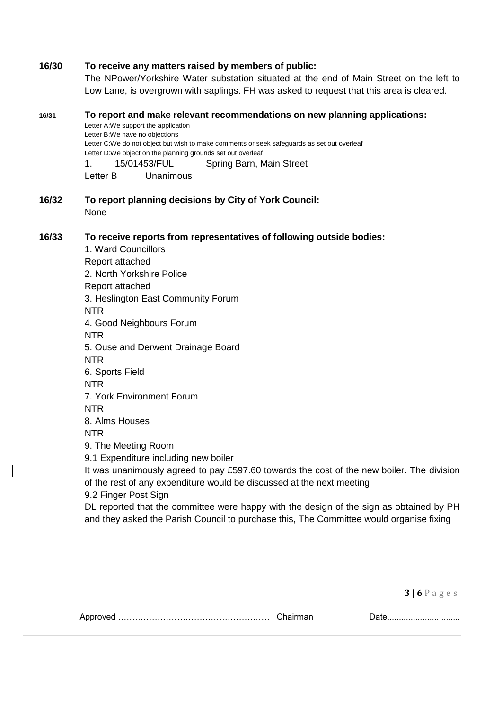## **16/30 To receive any matters raised by members of public:**

The NPower/Yorkshire Water substation situated at the end of Main Street on the left to Low Lane, is overgrown with saplings. FH was asked to request that this area is cleared.

## **16/31 To report and make relevant recommendations on new planning applications:**

Letter A:We support the application

Letter B:We have no objections Letter C:We do not object but wish to make comments or seek safeguards as set out overleaf Letter D:We object on the planning grounds set out overleaf

1. 15/01453/FUL Spring Barn, Main Street

Letter B Unanimous

**16/32 To report planning decisions by City of York Council:** None

## **16/33 To receive reports from representatives of following outside bodies:**

1. Ward Councillors Report attached 2. North Yorkshire Police Report attached 3. Heslington East Community Forum NTR 4. Good Neighbours Forum NTR 5. Ouse and Derwent Drainage Board NTR 6. Sports Field NTR 7. York Environment Forum NTR 8. Alms Houses NTR 9. The Meeting Room 9.1 Expenditure including new boiler

It was unanimously agreed to pay £597.60 towards the cost of the new boiler. The division of the rest of any expenditure would be discussed at the next meeting

9.2 Finger Post Sign

DL reported that the committee were happy with the design of the sign as obtained by PH and they asked the Parish Council to purchase this, The Committee would organise fixing

| $\mathbf{a}$ |  |
|--------------|--|
|              |  |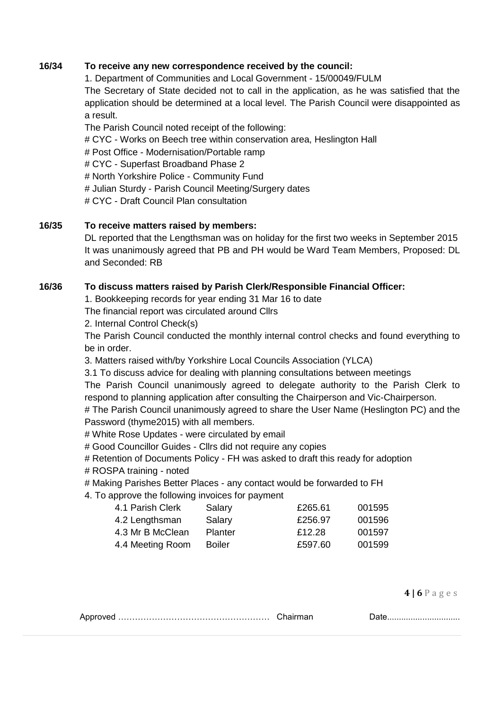# **16/34 To receive any new correspondence received by the council:**

1. Department of Communities and Local Government - 15/00049/FULM

The Secretary of State decided not to call in the application, as he was satisfied that the application should be determined at a local level. The Parish Council were disappointed as a result.

The Parish Council noted receipt of the following:

# CYC - Works on Beech tree within conservation area, Heslington Hall

# Post Office - Modernisation/Portable ramp

# CYC - Superfast Broadband Phase 2

# North Yorkshire Police - Community Fund

# Julian Sturdy - Parish Council Meeting/Surgery dates

# CYC - Draft Council Plan consultation

# **16/35 To receive matters raised by members:**

DL reported that the Lengthsman was on holiday for the first two weeks in September 2015 It was unanimously agreed that PB and PH would be Ward Team Members, Proposed: DL and Seconded: RB

# **16/36 To discuss matters raised by Parish Clerk/Responsible Financial Officer:**

1. Bookkeeping records for year ending 31 Mar 16 to date

The financial report was circulated around Cllrs

2. Internal Control Check(s)

The Parish Council conducted the monthly internal control checks and found everything to be in order.

3. Matters raised with/by Yorkshire Local Councils Association (YLCA)

3.1 To discuss advice for dealing with planning consultations between meetings

The Parish Council unanimously agreed to delegate authority to the Parish Clerk to respond to planning application after consulting the Chairperson and Vic-Chairperson.

# The Parish Council unanimously agreed to share the User Name (Heslington PC) and the Password (thyme2015) with all members.

# White Rose Updates - were circulated by email

# Good Councillor Guides - Cllrs did not require any copies

# Retention of Documents Policy - FH was asked to draft this ready for adoption

- # ROSPA training noted
- # Making Parishes Better Places any contact would be forwarded to FH

4. To approve the following invoices for payment

| 4.1 Parish Clerk | Salary         | £265.61 | 001595 |
|------------------|----------------|---------|--------|
| 4.2 Lengthsman   | Salary         | £256.97 | 001596 |
| 4.3 Mr B McClean | <b>Planter</b> | £12.28  | 001597 |
| 4.4 Meeting Room | <b>Boiler</b>  | £597.60 | 001599 |

|--|--|--|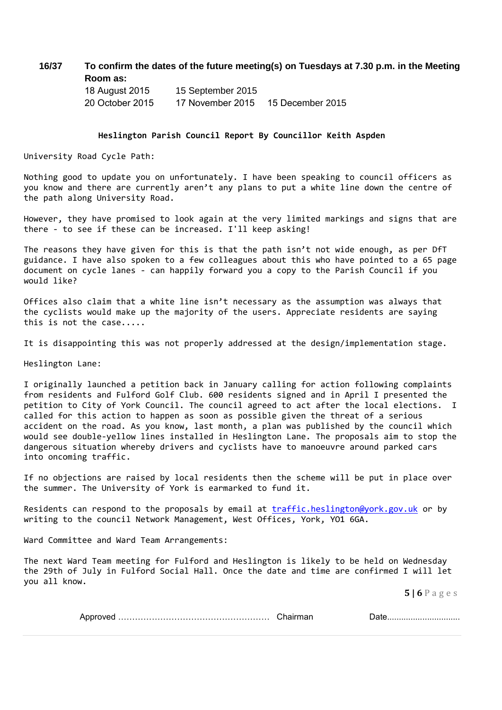# **16/37 To confirm the dates of the future meeting(s) on Tuesdays at 7.30 p.m. in the Meeting Room as:**

18 August 2015    15 September 2015 20 October 2015         17 November 2015       15 December 2015

#### **Heslington Parish Council Report By Councillor Keith Aspden**

University Road Cycle Path:

Nothing good to update you on unfortunately. I have been speaking to council officers as you know and there are currently aren't any plans to put a white line down the centre of the path along University Road.

However, they have promised to look again at the very limited markings and signs that are there - to see if these can be increased. I'll keep asking!

The reasons they have given for this is that the path isn't not wide enough, as per DfT guidance. I have also spoken to a few colleagues about this who have pointed to a 65 page document on cycle lanes - can happily forward you a copy to the Parish Council if you would like?

Offices also claim that a white line isn't necessary as the assumption was always that the cyclists would make up the majority of the users. Appreciate residents are saying this is not the case.....

It is disappointing this was not properly addressed at the design/implementation stage.

Heslington Lane:

I originally launched a petition back in January calling for action following complaints from residents and Fulford Golf Club. 600 residents signed and in April I presented the petition to City of York Council. The council agreed to act after the local elections. I called for this action to happen as soon as possible given the threat of a serious accident on the road. As you know, last month, a plan was published by the council which would see double-yellow lines installed in Heslington Lane. The proposals aim to stop the dangerous situation whereby drivers and cyclists have to manoeuvre around parked cars into oncoming traffic.

If no objections are raised by local residents then the scheme will be put in place over the summer. The University of York is earmarked to fund it.

Residents can respond to the proposals by email at [traffic.heslington@york.gov.uk](mailto:traffic.heslington@york.gov.uk) or by writing to the council Network Management, West Offices, York, YO1 6GA.

Ward Committee and Ward Team Arrangements:

The next Ward Team meeting for Fulford and Heslington is likely to be held on Wednesday the 29th of July in Fulford Social Hall. Once the date and time are confirmed I will let you all know.

|  |  | <u> Dalo</u> |
|--|--|--------------|
|--|--|--------------|